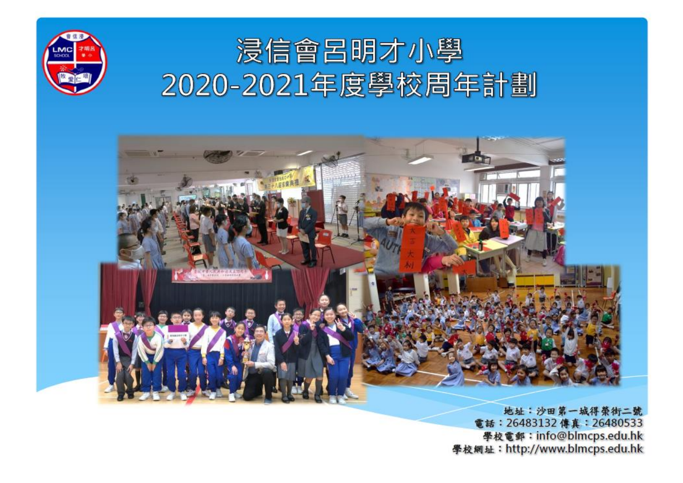

電話: 26483132 傳真: 26480533 學校電郵: info@blmcps.edu.hk 學校網址: http://www.blmcps.edu.hk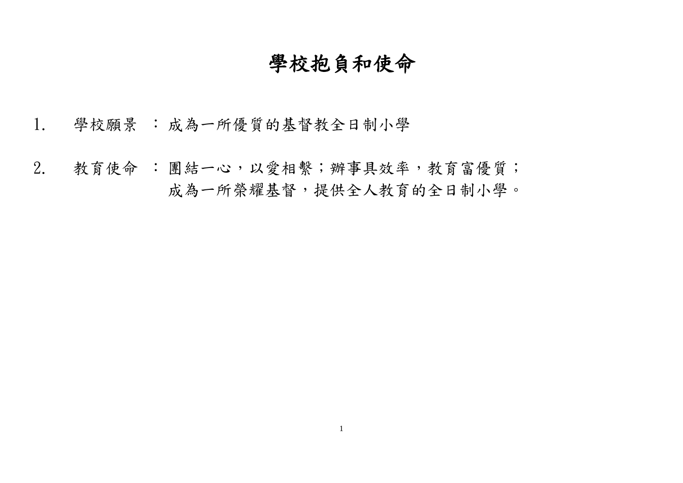# 學校抱負和使命

- 1. 學校願景 : 成為一所優質的基督教全日制小學
- 2. 教育使命 : 團結一心,以愛相繫;辦事具效率,教育富優質; 成為一所榮耀基督,提供全人教育的全日制小學。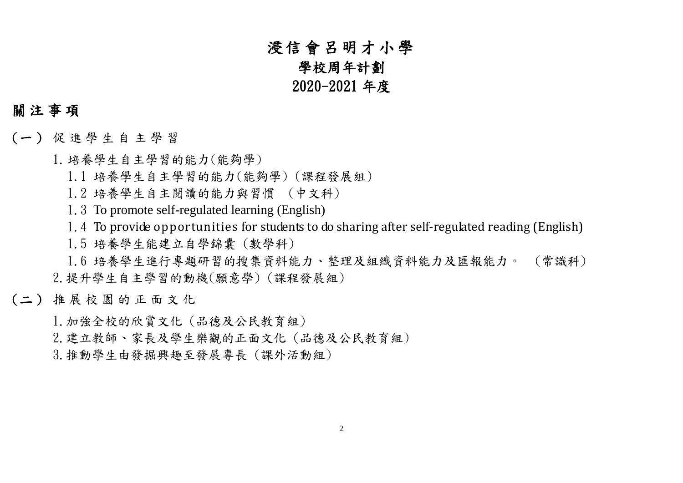# 浸信會呂明才小學

#### 學校周年計劃

#### 2020-2021 年度

#### 關 注 事 項

- (一 ) 促 進 學 生 自 主 學 習
	- 1.培養學生自主學習的能力(能夠學)
		- 1.1 培養學生自主學習的能力(能夠學) (課程發展組)
		- 1.2 培養學生自主閱讀的能力與習慣 (中文科)
		- 1.3 To promote self-regulated learning (English)
		- 1.4 To provide opportunities for students to do sharing after self-regulated reading (English)
		- 1.5 培養學生能建立自學錦囊 (數學科)
	- 1.6 培養學生進行專題研習的搜集資料能力、整理及組織資料能力及匯報能力。 (常識科) 2.提升學生自主學習的動機(願意學) (課程發展組)
- (二 ) 推 展 校 園 的 正 面 文 化
	- 1.加強全校的欣賞文化 (品德及公民教育組)
	- 2.建立教師、家長及學生樂觀的正面文化 (品德及公民教育組)
	- 3.推動學生由發掘興趣至發展專長 (課外活動組)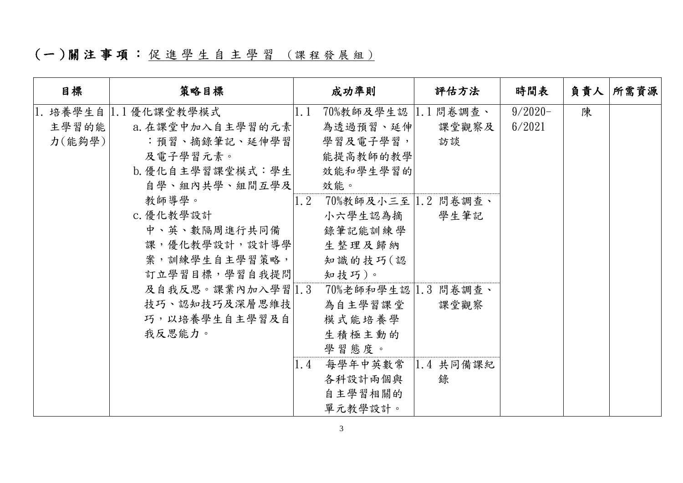## (一)關注事項:促進學生自主學習 (課程發展組)

| 日標     | 策略目標                 |               | 成功準則                 | 評估方法               | 時間表        | 負責人 | 所需資源 |
|--------|----------------------|---------------|----------------------|--------------------|------------|-----|------|
|        | 1. 培養學生自 1.1優化課堂教學模式 | $ 1.1\rangle$ | 70%教師及學生認  1.1 問卷調查、 |                    | $9/2020 -$ | 陳   |      |
| 主學習的能  | a. 在課堂中加入自主學習的元素     |               | 為透過預習、延伸             | 課堂觀察及              | 6/2021     |     |      |
| 力(能夠學) | :預習、摘錄筆記、延伸學習        |               | 學習及電子學習,             | 訪談                 |            |     |      |
|        | 及電子學習元素。             |               | 能提高教師的教學             |                    |            |     |      |
|        | b. 優化自主學習課堂模式: 學生    |               | 效能和學生學習的             |                    |            |     |      |
|        | 自學、組內共學、組間互學及        |               | 效能。                  |                    |            |     |      |
|        | 教師導學。                | 1.2           | 70%教師及小三至 1.2 問卷調查、  |                    |            |     |      |
|        | c. 優化教學設計            |               | 小六學生認為摘              | 學生筆記               |            |     |      |
|        | 中、英、數隔周進行共同備         |               | 錄筆記能訓練學              |                    |            |     |      |
|        | 課,優化教學設計,設計導學        |               | 生整理及歸納               |                    |            |     |      |
|        | 案,訓練學生自主學習策略,        |               | 知識的技巧(認              |                    |            |     |      |
|        | 訂立學習目標,學習自我提問        |               | 知技巧)。                |                    |            |     |      |
|        | 及自我反思。課業內加入學習 1.3    |               | 70%老師和學生認 1.3 問卷調查、  |                    |            |     |      |
|        | 技巧、認知技巧及深層思維技        |               | 為自主學習課堂              | 課堂觀察               |            |     |      |
|        | 巧,以培養學生自主學習及自        |               | 模式能培養學               |                    |            |     |      |
|        | 我反思能力。               |               | 生積極主動的               |                    |            |     |      |
|        |                      |               | 學習態度。                |                    |            |     |      |
|        |                      | 1.4           | 每學年中英數常              | $ 1.4 \nless$ 月備課紀 |            |     |      |
|        |                      |               | 各科設計兩個與              | 錄                  |            |     |      |
|        |                      |               | 自主學習相關的              |                    |            |     |      |
|        |                      |               | 單元教學設計。              |                    |            |     |      |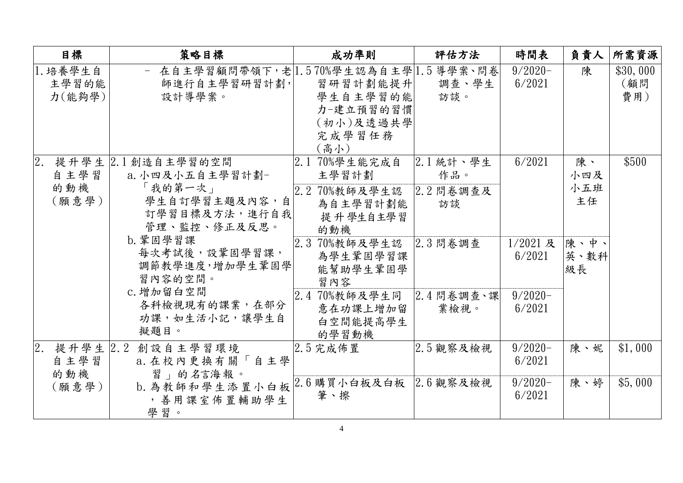|    | 目標                          | 策略目標                                                                                                                                                                                                               | 成功準則                                                                                                                                                                                          | 評估方法                                       | 時間表                                                    | 負責人                                          | 所需資源                   |
|----|-----------------------------|--------------------------------------------------------------------------------------------------------------------------------------------------------------------------------------------------------------------|-----------------------------------------------------------------------------------------------------------------------------------------------------------------------------------------------|--------------------------------------------|--------------------------------------------------------|----------------------------------------------|------------------------|
|    | 1. 培養學生自<br>主學習的能<br>力(能夠學) | - 在自主學習顧問帶領下,老 1.570%學生認為自主學 1.5導學案、問卷 <br>師進行自主學習研習計劃,<br>設計導學案。                                                                                                                                                  | 習研習計劃能提升 <br>學生自主學習的能<br>力-建立預習的習慣<br>(初小)及透過共學<br>完成學習任務<br>(高小)                                                                                                                             | 調查、學生<br>訪談。                               | $9/2020 -$<br>6/2021                                   | 陳                                            | \$30,000<br>(顧問<br>費用) |
| 2. | 自主學習<br>的動機<br>(願意學)        | 提升學生 2.1創造自主學習的空間<br>a. 小四及小五自主學習計劃-<br>「我的第一次」<br>學生自訂學習主題及內容,自<br>訂學習目標及方法,進行自我<br>管理、監控、修正及反思。<br>b. 鞏固學習課<br>每次考試後,設鞏固學習課,<br>調節教學進度,增加學生鞏固學<br>習內容的空間。<br>c. 增加留白空間<br>各科檢視現有的課業,在部分<br>功課,如生活小記,讓學生自<br>擬題目。 | 2.1 70%學生能完成自<br>主學習計劃<br>2.2 70%教師及學生認 2.2 問卷調查及<br>為自主學習計劃能<br>提升學生自主學習<br>的動機<br>2.3 70%教師及學生認<br>為學生鞏固學習課<br>能幫助學生鞏固學<br>習內容<br>2.4 70%教師及學生同 2.4 問卷調查、課<br>意在功課上增加留<br>白空間能提高學生<br>的學習動機 | 2.1 統計、學生<br>作品。<br>訪談<br>2.3 問卷調查<br>業檢視。 | 6/2021<br>$1/2021$ 及<br>6/2021<br>$9/2020 -$<br>6/2021 | 陳、<br>小四及<br>小五班<br>主任<br>陳、中、<br>英、數科<br>級長 | \$500                  |
| 2. | 自主學習<br>的動機<br>(願意學)        | 提升學生 2.2 創設自主學習環境<br>a. 在校內更換有關「自主學<br>習」的名言海報。<br>b. 為教師和學生添置小白板 2.6 購買小白板及白板 2.6 觀察及檢視<br>, 善用課室佈置輔助學生<br>學習。                                                                                                    | $2.5$ 完成佈置<br>筆、擦                                                                                                                                                                             | $2.5$ 觀察及檢視                                | $9/2020 -$<br>6/2021<br>$9/2020 -$<br>6/2021           | 陳、妮<br>陳、婷                                   | \$1,000<br>\$5,000     |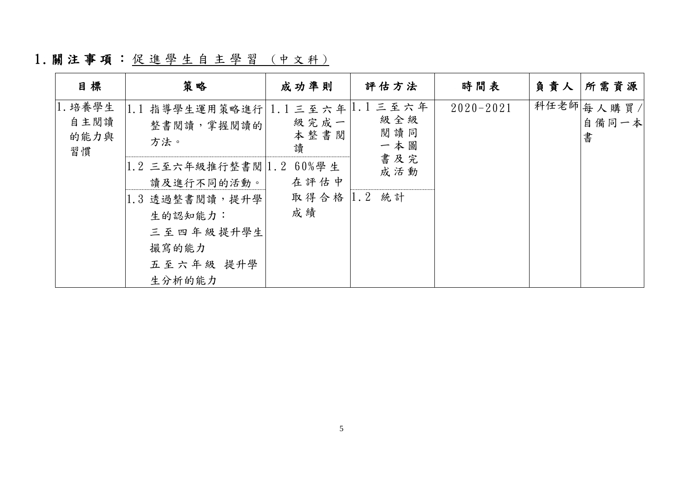1. 關注事項: 促進學生自主學習 (中文科)

| 日標                            | 策略                                                                                                         | 成功準則                        | 評估方法                                      | 時間表           | 負責人 | 所需資源                      |
|-------------------------------|------------------------------------------------------------------------------------------------------------|-----------------------------|-------------------------------------------|---------------|-----|---------------------------|
| 1. 培養學生<br>自主閱讀<br>的能力與<br>習慣 | 1.1 指導學生運用策略進行 1.1 三至六年<br>整書閱讀,掌握閱讀的<br>方法。                                                               | 級完成一<br>本整書閱<br>讀           | $ 1.1$ 三至六年<br>級全級<br>閱讀同<br>一本圖          | $2020 - 2021$ |     | 科任老師 每人購買/<br>自備同一本 <br>書 |
|                               | 1.2 三至六年級推行整書閱 1.2<br>讀及進行不同的活動。<br>1.3 透過整書閱讀,提升學<br>生的認知能力:<br>三至四年級提升學生<br>撮寫的能力<br>五至六年級 提升學<br>生分析的能力 | 60%學生<br>在評估中<br>取得合格<br>成績 | 書及完<br>成活動<br>$\vert 1 \rangle$ . 2<br>統計 |               |     |                           |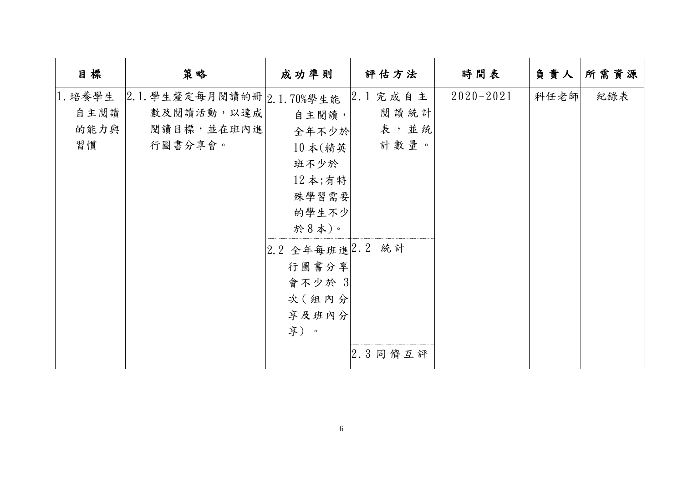| 日標      | 策略                         | 成功準則                               | 評估方法       | 時間表           | 負責人  | 所需資源 |
|---------|----------------------------|------------------------------------|------------|---------------|------|------|
| 1. 培養學生 | 2.1. 學生釐定每月閱讀的冊 2.1.70%學生能 |                                    | $2.1$ 完成自主 | $2020 - 2021$ | 科任老師 | 紀錄表  |
| 自主閱讀    | 數及閱讀活動,以達成                 | 自主閱讀,                              | 閱讀統計       |               |      |      |
| 的能力與    | 閱讀目標,並在班內進                 | 全年不少於                              | 表,並統       |               |      |      |
| 習慣      | 行圖書分享會。                    | $10 \nless (\nexists \mathfrak{F}$ | 計數量。       |               |      |      |
|         |                            | 班不少於                               |            |               |      |      |
|         |                            | 12 本;有特                            |            |               |      |      |
|         |                            | 殊學習需要                              |            |               |      |      |
|         |                            | 的學生不少                              |            |               |      |      |
|         |                            | 於8本)。                              |            |               |      |      |
|         |                            | 2.2 全年每班進 2.2 統計                   |            |               |      |      |
|         |                            | 行圖書分享                              |            |               |      |      |
|         |                            | 會不少於 3                             |            |               |      |      |
|         |                            | 次 (組內分                             |            |               |      |      |
|         |                            | 享及班內分                              |            |               |      |      |
|         |                            | 享)。                                |            |               |      |      |
|         |                            |                                    | $2.3$ 同儕互評 |               |      |      |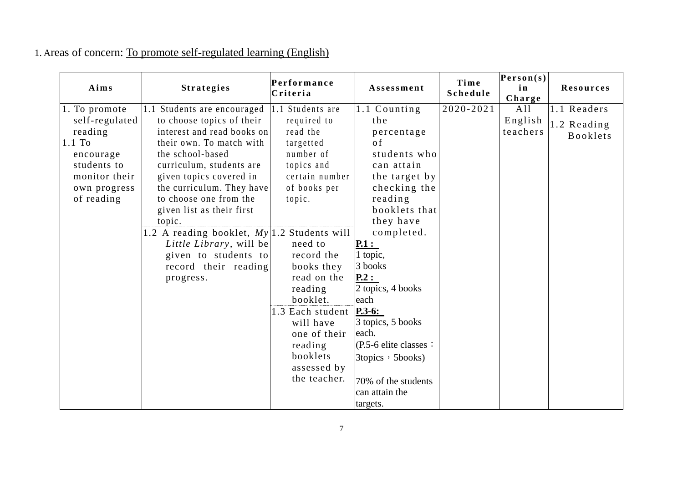#### 1. Areas of concern: To promote self-regulated learning (English)

| Aims           | <b>Strategies</b>                             | Performance<br>Criteria | Assessment               | Time<br>Schedule | Person(s)<br>in<br>Charge | <b>Resources</b>                 |
|----------------|-----------------------------------------------|-------------------------|--------------------------|------------------|---------------------------|----------------------------------|
| 1. To promote  | 1.1 Students are encouraged                   | 1.1 Students are        | 1.1 Counting             | 2020-2021        | A11                       | 1.1 Readers                      |
| self-regulated | to choose topics of their                     | required to             | the                      |                  | English                   |                                  |
| reading        | interest and read books on                    | read the                | percentage               |                  | teachers                  | $1.2$ Reading<br><b>Booklets</b> |
| $1.1$ To       | their own. To match with                      | targetted               | <sub>of</sub>            |                  |                           |                                  |
| encourage      | the school-based                              | number of               | students who             |                  |                           |                                  |
| students to    | curriculum, students are                      | topics and              | can attain               |                  |                           |                                  |
| monitor their  | given topics covered in                       | certain number          | the target by            |                  |                           |                                  |
| own progress   | the curriculum. They have                     | of books per            | checking the             |                  |                           |                                  |
| of reading     | to choose one from the                        | topic.                  | reading                  |                  |                           |                                  |
|                | given list as their first                     |                         | booklets that            |                  |                           |                                  |
|                | topic.                                        |                         | they have                |                  |                           |                                  |
|                | 1.2 A reading booklet, $My 1.2$ Students will |                         | completed.               |                  |                           |                                  |
|                | Little Library, will be                       | need to                 | $\mathbf{P.1:}$          |                  |                           |                                  |
|                | given to students to                          | record the              | 1 topic,                 |                  |                           |                                  |
|                | record their reading                          | books they              | 3 books                  |                  |                           |                                  |
|                | progress.                                     | read on the             | P.2:                     |                  |                           |                                  |
|                |                                               | reading                 | 2 topics, 4 books        |                  |                           |                                  |
|                |                                               | booklet.                | each                     |                  |                           |                                  |
|                |                                               | 1.3 Each student        | $P.3-6:$                 |                  |                           |                                  |
|                |                                               | will have               | 3 topics, 5 books        |                  |                           |                                  |
|                |                                               | one of their            | each.                    |                  |                           |                                  |
|                |                                               | reading                 | $(P.5-6$ elite classes : |                  |                           |                                  |
|                |                                               | booklets                | 3topics, 5books)         |                  |                           |                                  |
|                |                                               | assessed by             |                          |                  |                           |                                  |
|                |                                               | the teacher.            | 70% of the students      |                  |                           |                                  |
|                |                                               |                         | can attain the           |                  |                           |                                  |
|                |                                               |                         | targets.                 |                  |                           |                                  |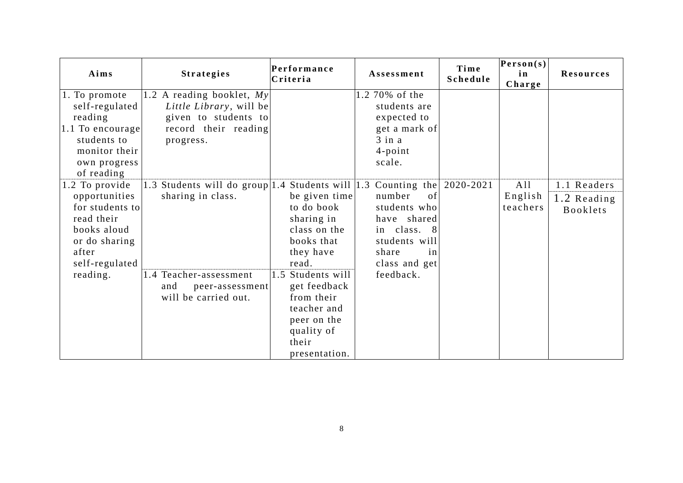| Aims                                                                                                                                    | <b>Strategies</b>                                                                                                                                     | Performance<br>Criteria                                                                                                                                                                                                   | Assessment                                                                                                                                           | Time<br>Schedule | Person(s)<br>in<br>Charge  | <b>Resources</b>                              |
|-----------------------------------------------------------------------------------------------------------------------------------------|-------------------------------------------------------------------------------------------------------------------------------------------------------|---------------------------------------------------------------------------------------------------------------------------------------------------------------------------------------------------------------------------|------------------------------------------------------------------------------------------------------------------------------------------------------|------------------|----------------------------|-----------------------------------------------|
| 1. To promote<br>self-regulated<br>reading<br>$ 1.1 \text{ To encourage}$<br>students to<br>monitor their<br>own progress<br>of reading | 1.2 A reading booklet, $My$<br>Little Library, will be<br>given to students to<br>record their reading<br>progress.                                   |                                                                                                                                                                                                                           | 1.2 70% of the<br>students are<br>expected to<br>get a mark of<br>$3$ in a<br>$4$ -point<br>scale.                                                   |                  |                            |                                               |
| 1.2 To provide<br>opportunities<br>for students to<br>read their<br>books aloud<br>or do sharing<br>after<br>self-regulated<br>reading. | 1.3 Students will do group   1.4 Students will   1.3<br>sharing in class.<br>1.4 Teacher-assessment<br>and<br>peer-assessment<br>will be carried out. | be given time<br>to do book<br>sharing in<br>class on the<br>books that<br>they have<br>read.<br>Students will<br>1.5<br>get feedback<br>from their<br>teacher and<br>peer on the<br>quality of<br>their<br>presentation. | Counting the $2020-2021$<br>number<br>of<br>students who<br>have shared<br>in class. 8<br>students will<br>share<br>in<br>class and get<br>feedback. |                  | A11<br>English<br>teachers | 1.1 Readers<br>1.2 Reading<br><b>Booklets</b> |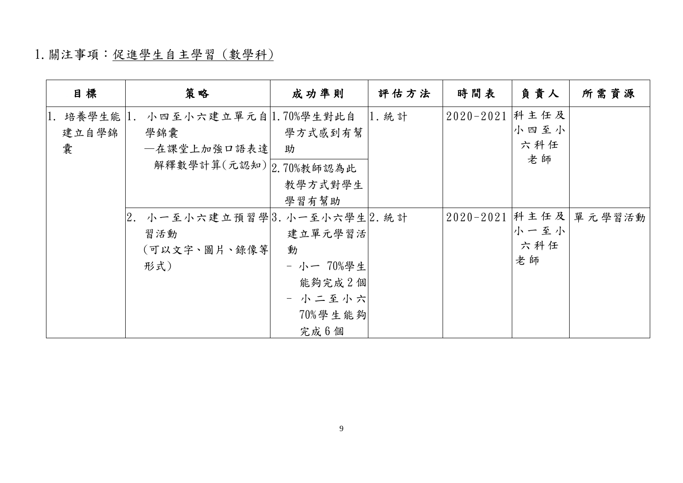## 1.關注事項:促進學生自主學習 (數學科)

| 日標                          | 策略                                                                    | 成功準則                                                                        | 評估方法  | 時間表                | 負責人               | 所需資源   |
|-----------------------------|-----------------------------------------------------------------------|-----------------------------------------------------------------------------|-------|--------------------|-------------------|--------|
| 1. 培養學生能   1.<br>建立自學錦<br>囊 | 小四至小六建立單元自 1.70%學生對此自<br>學錦囊<br>一在課堂上加強口語表達<br>解釋數學計算(元認知) 2.70%教師認為此 | 學方式感到有幫<br>助<br>教學方式對學生                                                     | 1. 統計 | 2020-2021 科主任及     | 小四至小<br>六科任<br>老師 |        |
|                             | 2. 小一至小六建立預習學 3.小一至小六學生 2.統計<br>習活動<br>(可以文字、圖片、錄像等<br>形式)            | 學習有幫助<br>建立單元學習活<br>動<br>- 小一 70%學生<br>能夠完成2個<br>- 小二至小六<br>70%學生能夠<br>完成6個 |       | $2020 - 2021$ 科主任及 | 小一至小<br>六科任<br>老師 | 單元學習活動 |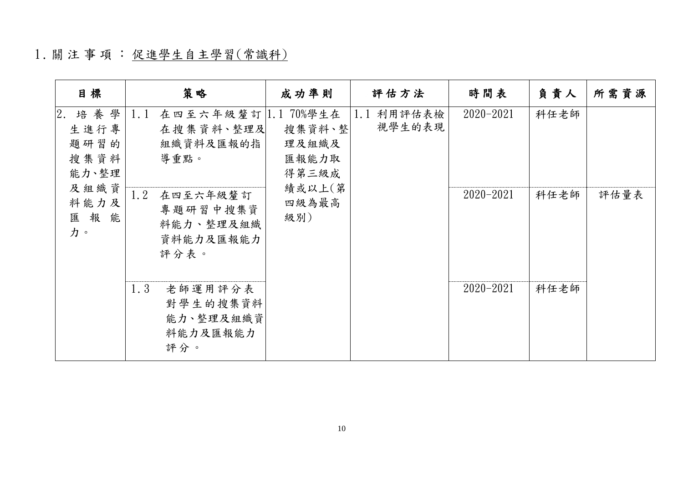## 1 .關 注 事 項 : 促進學生自主學習(常識科)

| 日標                                                 | 策略                                                                                                                                       | 成功準則                                        | 評估方法                    | 時間表           | 負責人  | 所需資源 |
|----------------------------------------------------|------------------------------------------------------------------------------------------------------------------------------------------|---------------------------------------------|-------------------------|---------------|------|------|
| 2.<br>培養學<br>生進行專<br>題研習的<br>搜集資料<br>能力、整理<br>及組織資 | 在四至六年級釐訂 1.170%學生在<br>1.1<br>在搜集資料、整理及<br>組織資料及匯報的指<br>導重點。<br>1.2<br>在四至六年級釐訂<br>專題研習中搜集資<br>級別)<br>能<br>料能力、整理及組織<br>資料能力及匯報能力<br>評分表。 | 搜集資料、整<br>理及組織及<br>匯報能力取<br>得第三級成<br>績或以上(第 | 利用評估表檢<br>1.1<br>視學生的表現 | $2020 - 2021$ | 科任老師 |      |
| 料能力及<br>匯報<br>力。                                   |                                                                                                                                          | 四級為最高                                       |                         | $2020 - 2021$ | 科任老師 | 評估量表 |
|                                                    | 1.3<br>老師運用評分表<br>對學生的搜集資料<br>能力、整理及組織資<br>料能力及匯報能力<br>評分。                                                                               |                                             |                         | $2020 - 2021$ | 科任老師 |      |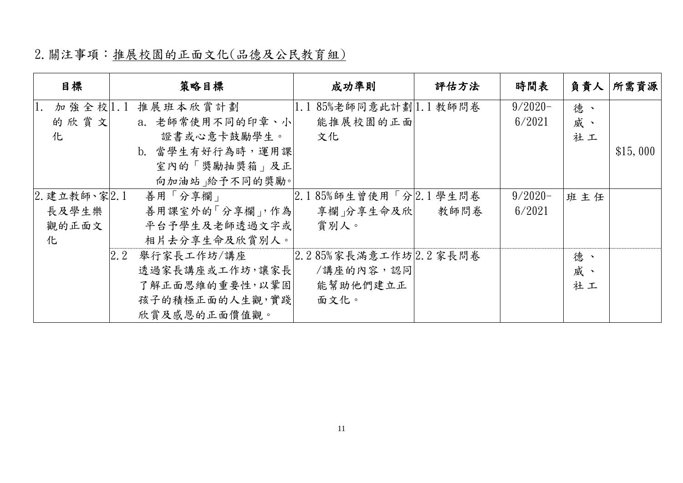## 2.關注事項:推展校園的正面文化(品德及公民教育組)

| 目標           | 策略目標              | 成功準則                         | 評估方法 | 時間表        | 負責人 | 所需資源     |
|--------------|-------------------|------------------------------|------|------------|-----|----------|
| 加強全校 1.1     | 推展班本欣賞計劃          | 1.185%老師同意此計劃  .1教師問卷        |      | $9/2020 -$ | 德、  |          |
| 的欣賞文         | a. 老師常使用不同的印章、小   | 能推展校園的正面                     |      | 6/2021     | 威、  |          |
| 化            | 證書或心意卡鼓勵學生。       | 文化                           |      |            | 社工  |          |
|              | b. 當學生有好行為時,運用課   |                              |      |            |     | \$15,000 |
|              | 室內的「獎勵抽獎箱」及正      |                              |      |            |     |          |
|              | 向加油站 給予不同的獎勵。     |                              |      |            |     |          |
| 2. 建立教師、家2.1 | 善用「分享欄」           | $2.185\%$ 師生曾使用「分 $2.1$ 學生問卷 |      | $9/2020 -$ | 班主任 |          |
| 長及學生樂        | 善用課室外的「分享欄」,作為    | 享欄 分享生命及欣                    | 教師問卷 | 6/2021     |     |          |
| 觀的正面文        | 平台予學生及老師透過文字或     | 賞別人。                         |      |            |     |          |
| 化            | 相片去分享生命及欣賞別人。     |                              |      |            |     |          |
|              | 2.2<br>舉行家長工作坊/講座 | 2.285%家長滿意工作坊 2.2家長問卷        |      |            | 德、  |          |
|              | 透過家長講座或工作坊,讓家長    | /講座的內容,認同                    |      |            | 威、  |          |
|              | 了解正面思維的重要性,以鞏固    | 能幫助他們建立正                     |      |            | 社工  |          |
|              | 孩子的積極正面的人生觀,實踐    | 面文化。                         |      |            |     |          |
|              | 欣賞及感恩的正面價值觀。      |                              |      |            |     |          |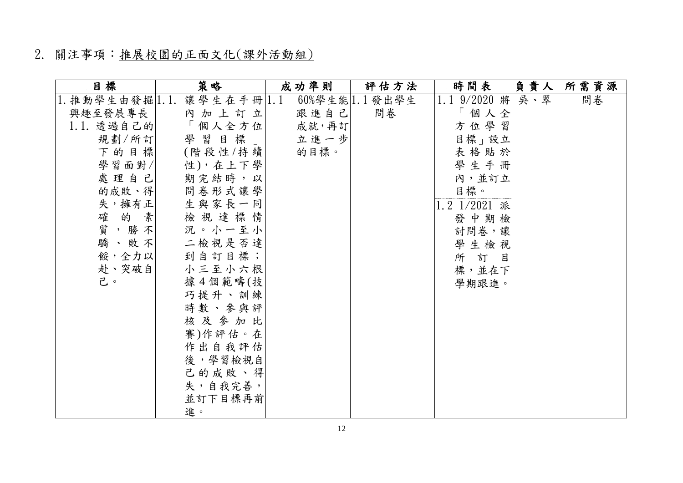### 2. 關注事項:推展校園的正面文化(課外活動組)

| 日標                    | 策略         | 成功準則  | 評估方法                   | 時間表          | 負責人 | 所需資源 |
|-----------------------|------------|-------|------------------------|--------------|-----|------|
| $ 1.$ 推動學生由發掘 $ 1.1.$ | 讓學生在手冊 1.1 |       | $60\%$ 學生能 $ 1.1$ 發出學生 | 1.1 9/2020 將 | 吳、翠 | 問卷   |
| 興趣至發展專長               | 內加上訂立      | 跟進自己  | 問卷                     | 「個人全         |     |      |
| 1.1. 透過自己的            | 「個人全方位     | 成就,再訂 |                        | 方位學習         |     |      |
| 規劃/所訂                 | 學習目標」      | 立進一步  |                        | 目標」設立        |     |      |
| 下的目標                  | (階段性/持續    | 的目標。  |                        | 表格貼於         |     |      |
| 學習面對/                 | 性),在上下學    |       |                        | 學生手冊         |     |      |
| 處理自己                  | 期完結時,以     |       |                        | 內,並訂立        |     |      |
| 的成敗、得                 | 問卷形式讓學     |       |                        | 目標。          |     |      |
| 失,擁有正                 | 生與家長一同     |       |                        | 1.2 1/2021 派 |     |      |
| 確的素                   | 檢視達標情      |       |                        | 發中期檢         |     |      |
| 質,勝不                  | 況。小一至小     |       |                        | 討問卷,讓        |     |      |
| 驕、敗不                  | 二檢視是否達     |       |                        | 學生檢視         |     |      |
| 餒,全力以                 | 到自訂目標;     |       |                        | 所訂目          |     |      |
| 赴、突破自                 | 小三至小六根     |       |                        | 標,並在下        |     |      |
| 己。                    | 據4個範疇(技    |       |                        | 學期跟進。        |     |      |
|                       | 巧提升、訓練     |       |                        |              |     |      |
|                       | 時數、參與評     |       |                        |              |     |      |
|                       | 核及参加比      |       |                        |              |     |      |
|                       | 賽)作評估。在    |       |                        |              |     |      |
|                       | 作出自我評估     |       |                        |              |     |      |
|                       | 後,學習檢視自    |       |                        |              |     |      |
|                       | 己的成敗、得     |       |                        |              |     |      |
|                       | 失,自我完善,    |       |                        |              |     |      |
|                       | 並訂下目標再前    |       |                        |              |     |      |
|                       | 進。         |       |                        |              |     |      |